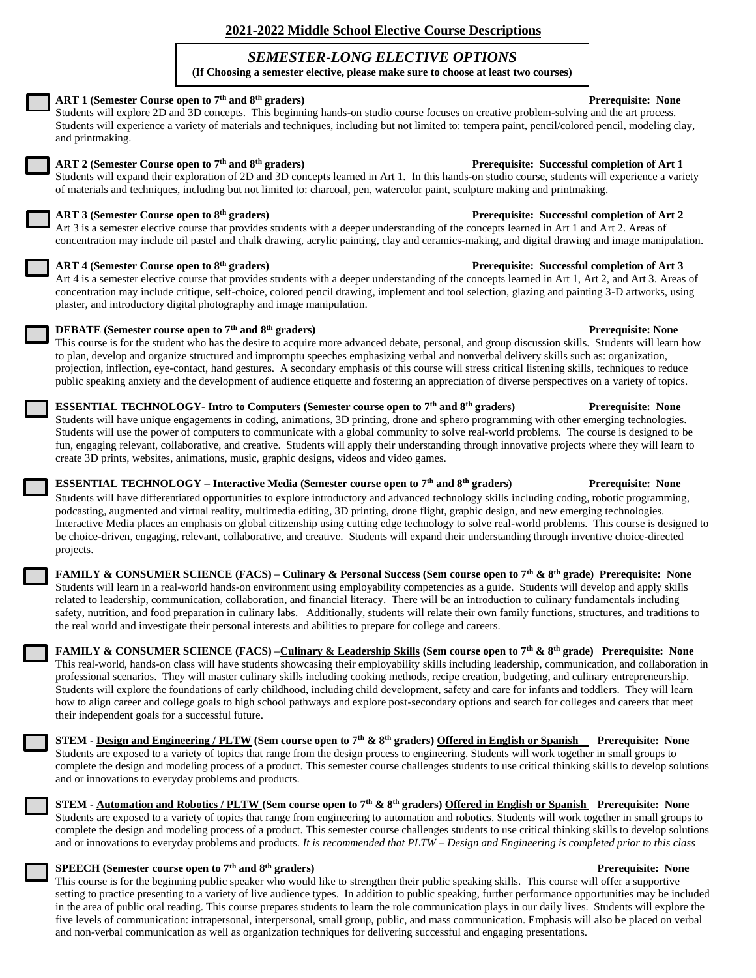# **2021-2022 Middle School Elective Course Descriptions**

# *SEMESTER-LONG ELECTIVE OPTIONS*

**(If Choosing a semester elective, please make sure to choose at least two courses)**

| ART 1 (Semester Course open to 7 <sup>th</sup> and 8 <sup>th</sup> graders)<br>Students will explore 2D and 3D concepts. This beginning hands-on studio course focuses on creative problem-solving and the art process.<br>Students will experience a variety of materials and techniques, including but not limited to: tempera paint, pencil/colored pencil, modeling clay,<br>and printmaking.                                                                                                                                                                                                                                                                                                                                                                                                                | <b>Prerequisite: None</b>                    |
|------------------------------------------------------------------------------------------------------------------------------------------------------------------------------------------------------------------------------------------------------------------------------------------------------------------------------------------------------------------------------------------------------------------------------------------------------------------------------------------------------------------------------------------------------------------------------------------------------------------------------------------------------------------------------------------------------------------------------------------------------------------------------------------------------------------|----------------------------------------------|
| ART 2 (Semester Course open to 7 <sup>th</sup> and 8 <sup>th</sup> graders)<br>Students will expand their exploration of 2D and 3D concepts learned in Art 1. In this hands-on studio course, students will experience a variety<br>of materials and techniques, including but not limited to: charcoal, pen, watercolor paint, sculpture making and printmaking.                                                                                                                                                                                                                                                                                                                                                                                                                                                | Prerequisite: Successful completion of Art 1 |
| ART 3 (Semester Course open to 8 <sup>th</sup> graders)<br>Art 3 is a semester elective course that provides students with a deeper understanding of the concepts learned in Art 1 and Art 2. Areas of<br>concentration may include oil pastel and chalk drawing, acrylic painting, clay and ceramics-making, and digital drawing and image manipulation.                                                                                                                                                                                                                                                                                                                                                                                                                                                        | Prerequisite: Successful completion of Art 2 |
| ART 4 (Semester Course open to 8 <sup>th</sup> graders)<br>Art 4 is a semester elective course that provides students with a deeper understanding of the concepts learned in Art 1, Art 2, and Art 3. Areas of<br>concentration may include critique, self-choice, colored pencil drawing, implement and tool selection, glazing and painting 3-D artworks, using<br>plaster, and introductory digital photography and image manipulation.                                                                                                                                                                                                                                                                                                                                                                       | Prerequisite: Successful completion of Art 3 |
| <b>DEBATE</b> (Semester course open to 7 <sup>th</sup> and 8 <sup>th</sup> graders)<br>This course is for the student who has the desire to acquire more advanced debate, personal, and group discussion skills. Students will learn how<br>to plan, develop and organize structured and impromptu speeches emphasizing verbal and nonverbal delivery skills such as: organization,<br>projection, inflection, eye-contact, hand gestures. A secondary emphasis of this course will stress critical listening skills, techniques to reduce<br>public speaking anxiety and the development of audience etiquette and fostering an appreciation of diverse perspectives on a variety of topics.                                                                                                                    | <b>Prerequisite: None</b>                    |
| ESSENTIAL TECHNOLOGY- Intro to Computers (Semester course open to 7th and 8th graders)<br>Students will have unique engagements in coding, animations, 3D printing, drone and sphero programming with other emerging technologies.<br>Students will use the power of computers to communicate with a global community to solve real-world problems. The course is designed to be<br>fun, engaging relevant, collaborative, and creative. Students will apply their understanding through innovative projects where they will learn to<br>create 3D prints, websites, animations, music, graphic designs, videos and video games.                                                                                                                                                                                 | <b>Prerequisite: None</b>                    |
| ESSENTIAL TECHNOLOGY - Interactive Media (Semester course open to 7 <sup>th</sup> and 8 <sup>th</sup> graders)<br>Students will have differentiated opportunities to explore introductory and advanced technology skills including coding, robotic programming,<br>podcasting, augmented and virtual reality, multimedia editing, 3D printing, drone flight, graphic design, and new emerging technologies.<br>Interactive Media places an emphasis on global citizenship using cutting edge technology to solve real-world problems. This course is designed to<br>be choice-driven, engaging, relevant, collaborative, and creative. Students will expand their understanding through inventive choice-directed<br>projects.                                                                                   | <b>Prerequisite: None</b>                    |
| FAMILY & CONSUMER SCIENCE (FACS) – Culinary & Personal Success (Sem course open to 7th & 8th grade) Prerequisite: None<br>Students will learn in a real-world hands-on environment using employability competencies as a guide. Students will develop and apply skills<br>related to leadership, communication, collaboration, and financial literacy. There will be an introduction to culinary fundamentals including<br>safety, nutrition, and food preparation in culinary labs. Additionally, students will relate their own family functions, structures, and traditions to<br>the real world and investigate their personal interests and abilities to prepare for college and careers.                                                                                                                   |                                              |
| FAMILY & CONSUMER SCIENCE (FACS) -Culinary & Leadership Skills (Sem course open to 7 <sup>th</sup> & 8 <sup>th</sup> grade) Prerequisite: None<br>This real-world, hands-on class will have students showcasing their employability skills including leadership, communication, and collaboration in<br>professional scenarios. They will master culinary skills including cooking methods, recipe creation, budgeting, and culinary entrepreneurship.<br>Students will explore the foundations of early childhood, including child development, safety and care for infants and toddlers. They will learn<br>how to align career and college goals to high school pathways and explore post-secondary options and search for colleges and careers that meet<br>their independent goals for a successful future. |                                              |
| STEM - Design and Engineering / PLTW (Sem course open to 7 <sup>th</sup> & 8 <sup>th</sup> graders) Offered in English or Spanish Prerequisite: None<br>Students are exposed to a variety of topics that range from the design process to engineering. Students will work together in small groups to<br>complete the design and modeling process of a product. This semester course challenges students to use critical thinking skills to develop solutions<br>and or innovations to everyday problems and products.                                                                                                                                                                                                                                                                                           |                                              |
| STEM - Automation and Robotics / PLTW (Sem course open to 7 <sup>th</sup> & 8 <sup>th</sup> graders) Offered in English or Spanish Prerequisite: None<br>Students are exposed to a variety of topics that range from engineering to automation and robotics. Students will work together in small groups to<br>complete the design and modeling process of a product. This semester course challenges students to use critical thinking skills to develop solutions                                                                                                                                                                                                                                                                                                                                              |                                              |

### **SPEECH (Semester course open to 7th and 8th graders) Prerequisite: None**

This course is for the beginning public speaker who would like to strengthen their public speaking skills. This course will offer a supportive setting to practice presenting to a variety of live audience types. In addition to public speaking, further performance opportunities may be included in the area of public oral reading. This course prepares students to learn the role communication plays in our daily lives. Students will explore the five levels of communication: intrapersonal, interpersonal, small group, public, and mass communication. Emphasis will also be placed on verbal and non-verbal communication as well as organization techniques for delivering successful and engaging presentations.

and or innovations to everyday problems and products. *It is recommended that PLTW – Design and Engineering is completed prior to this class*